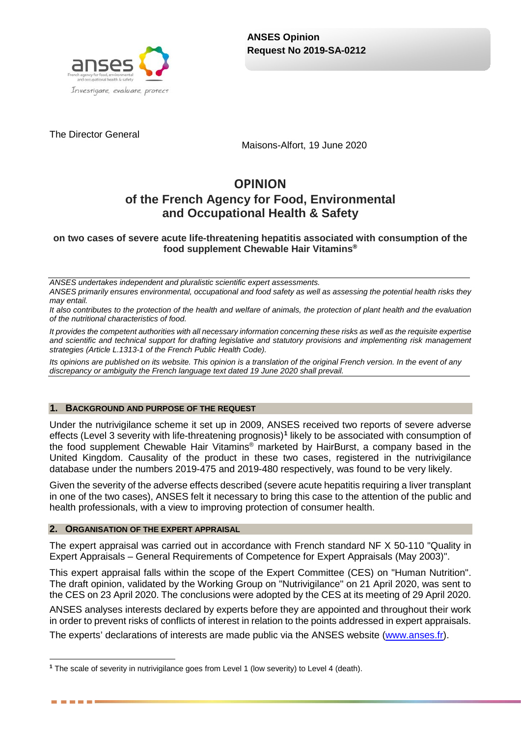

The Director General

Maisons-Alfort, 19 June 2020

# **OPINION of the French Agency for Food, Environmental and Occupational Health & Safety**

### **on two cases of severe acute life-threatening hepatitis associated with consumption of the food supplement Chewable Hair Vitamins®**

*ANSES undertakes independent and pluralistic scientific expert assessments. ANSES primarily ensures environmental, occupational and food safety as well as assessing the potential health risks they may entail.*

*It also contributes to the protection of the health and welfare of animals, the protection of plant health and the evaluation of the nutritional characteristics of food.*

*It provides the competent authorities with all necessary information concerning these risks as well as the requisite expertise and scientific and technical support for drafting legislative and statutory provisions and implementing risk management strategies (Article L.1313-1 of the French Public Health Code).* 

*Its opinions are published on its website. This opinion is a translation of the original French version. In the event of any discrepancy or ambiguity the French language text dated 19 June 2020 shall prevail.*

#### **1. BACKGROUND AND PURPOSE OF THE REQUEST**

Under the nutrivigilance scheme it set up in 2009, ANSES received two reports of severe adverse effects (Level 3 severity with life-threatening prognosis)**[1](#page-0-0)** likely to be associated with consumption of the food supplement Chewable Hair Vitamins® marketed by HairBurst, a company based in the United Kingdom. Causality of the product in these two cases, registered in the nutrivigilance database under the numbers 2019-475 and 2019-480 respectively, was found to be very likely.

Given the severity of the adverse effects described (severe acute hepatitis requiring a liver transplant in one of the two cases), ANSES felt it necessary to bring this case to the attention of the public and health professionals, with a view to improving protection of consumer health.

#### **2. ORGANISATION OF THE EXPERT APPRAISAL**

------

The expert appraisal was carried out in accordance with French standard NF X 50-110 "Quality in Expert Appraisals – General Requirements of Competence for Expert Appraisals (May 2003)".

This expert appraisal falls within the scope of the Expert Committee (CES) on "Human Nutrition". The draft opinion, validated by the Working Group on "Nutrivigilance" on 21 April 2020, was sent to the CES on 23 April 2020. The conclusions were adopted by the CES at its meeting of 29 April 2020.

ANSES analyses interests declared by experts before they are appointed and throughout their work in order to prevent risks of conflicts of interest in relation to the points addressed in expert appraisals.

The experts' declarations of interests are made public via the ANSES website [\(www.anses.fr\)](http://www.anses.fr/).

<span id="page-0-0"></span><sup>-</sup>**<sup>1</sup>** The scale of severity in nutrivigilance goes from Level 1 (low severity) to Level 4 (death).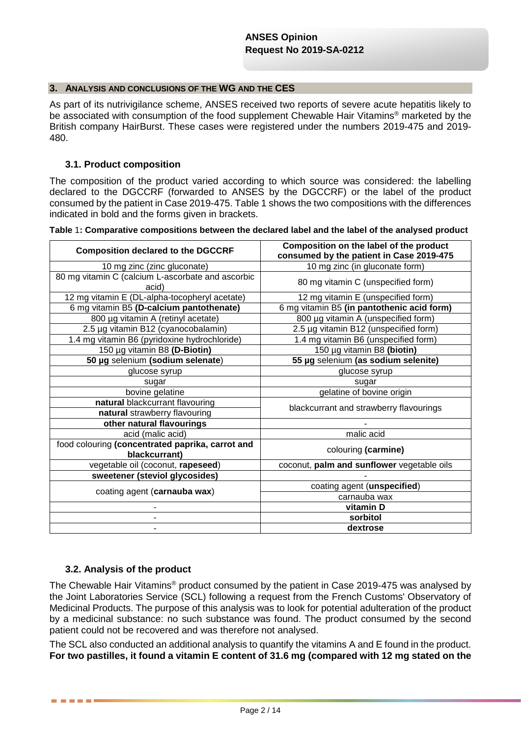#### **3. ANALYSIS AND CONCLUSIONS OF THE WG AND THE CES**

As part of its nutrivigilance scheme, ANSES received two reports of severe acute hepatitis likely to be associated with consumption of the food supplement Chewable Hair Vitamins® marketed by the British company HairBurst. These cases were registered under the numbers 2019-475 and 2019- 480.

### **3.1. Product composition**

The composition of the product varied according to which source was considered: the labelling declared to the DGCCRF (forwarded to ANSES by the DGCCRF) or the label of the product consumed by the patient in Case 2019-475[. Table](#page-1-0) 1 shows the two compositions with the differences indicated in bold and the forms given in brackets.

<span id="page-1-0"></span>**Table** 1**: Comparative compositions between the declared label and the label of the analysed product**

| <b>Composition declared to the DGCCRF</b>                         | Composition on the label of the product<br>consumed by the patient in Case 2019-475 |
|-------------------------------------------------------------------|-------------------------------------------------------------------------------------|
| 10 mg zinc (zinc gluconate)                                       | 10 mg zinc (in gluconate form)                                                      |
| 80 mg vitamin C (calcium L-ascorbate and ascorbic<br>acid)        | 80 mg vitamin C (unspecified form)                                                  |
| 12 mg vitamin E (DL-alpha-tocopheryl acetate)                     | 12 mg vitamin E (unspecified form)                                                  |
| 6 mg vitamin B5 (D-calcium pantothenate)                          | 6 mg vitamin B5 (in pantothenic acid form)                                          |
| 800 µg vitamin A (retinyl acetate)                                | 800 µg vitamin A (unspecified form)                                                 |
| 2.5 µg vitamin B12 (cyanocobalamin)                               | 2.5 µg vitamin B12 (unspecified form)                                               |
| 1.4 mg vitamin B6 (pyridoxine hydrochloride)                      | 1.4 mg vitamin B6 (unspecified form)                                                |
| 150 µg vitamin B8 (D-Biotin)                                      | 150 µg vitamin B8 (biotin)                                                          |
| 50 µg selenium (sodium selenate)                                  | 55 µg selenium (as sodium selenite)                                                 |
| glucose syrup                                                     | glucose syrup                                                                       |
| sugar                                                             | sugar                                                                               |
| bovine gelatine                                                   | gelatine of bovine origin                                                           |
| natural blackcurrant flavouring                                   | blackcurrant and strawberry flavourings                                             |
| natural strawberry flavouring                                     |                                                                                     |
| other natural flavourings                                         |                                                                                     |
| acid (malic acid)                                                 | malic acid                                                                          |
| food colouring (concentrated paprika, carrot and<br>blackcurrant) | colouring (carmine)                                                                 |
| vegetable oil (coconut, rapeseed)                                 | coconut, palm and sunflower vegetable oils                                          |
| sweetener (steviol glycosides)                                    |                                                                                     |
| coating agent (carnauba wax)                                      | coating agent (unspecified)                                                         |
|                                                                   | carnauba wax                                                                        |
|                                                                   | vitamin D                                                                           |
|                                                                   | sorbitol                                                                            |
|                                                                   | dextrose                                                                            |

### **3.2. Analysis of the product**

. . . .

The Chewable Hair Vitamins<sup>®</sup> product consumed by the patient in Case 2019-475 was analysed by the Joint Laboratories Service (SCL) following a request from the French Customs' Observatory of Medicinal Products. The purpose of this analysis was to look for potential adulteration of the product by a medicinal substance: no such substance was found. The product consumed by the second patient could not be recovered and was therefore not analysed.

The SCL also conducted an additional analysis to quantify the vitamins A and E found in the product. **For two pastilles, it found a vitamin E content of 31.6 mg (compared with 12 mg stated on the**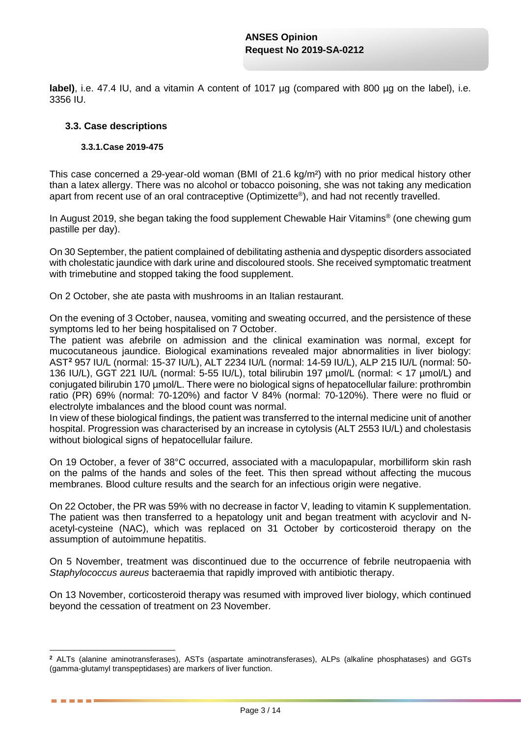**label)**, i.e. 47.4 IU, and a vitamin A content of 1017 ug (compared with 800 ug on the label), i.e. 3356 IU.

### **3.3. Case descriptions**

<u>.</u>

. . . .

#### **3.3.1.Case 2019-475**

This case concerned a 29-year-old woman (BMI of 21.6 kg/m²) with no prior medical history other than a latex allergy. There was no alcohol or tobacco poisoning, she was not taking any medication apart from recent use of an oral contraceptive (Optimizette®), and had not recently travelled.

In August 2019, she began taking the food supplement Chewable Hair Vitamins<sup>®</sup> (one chewing gum pastille per day).

On 30 September, the patient complained of debilitating asthenia and dyspeptic disorders associated with cholestatic jaundice with dark urine and discoloured stools. She received symptomatic treatment with trimebutine and stopped taking the food supplement.

On 2 October, she ate pasta with mushrooms in an Italian restaurant.

On the evening of 3 October, nausea, vomiting and sweating occurred, and the persistence of these symptoms led to her being hospitalised on 7 October.

The patient was afebrile on admission and the clinical examination was normal, except for mucocutaneous jaundice. Biological examinations revealed major abnormalities in liver biology: AST**[2](#page-2-0)** 957 IU/L (normal: 15-37 IU/L), ALT 2234 IU/L (normal: 14-59 IU/L), ALP 215 IU/L (normal: 50- 136 IU/L), GGT 221 IU/L (normal: 5-55 IU/L), total bilirubin 197 µmol/L (normal: < 17 µmol/L) and conjugated bilirubin 170 µmol/L. There were no biological signs of hepatocellular failure: prothrombin ratio (PR) 69% (normal: 70-120%) and factor V 84% (normal: 70-120%). There were no fluid or electrolyte imbalances and the blood count was normal.

In view of these biological findings, the patient was transferred to the internal medicine unit of another hospital. Progression was characterised by an increase in cytolysis (ALT 2553 IU/L) and cholestasis without biological signs of hepatocellular failure.

On 19 October, a fever of 38°C occurred, associated with a maculopapular, morbilliform skin rash on the palms of the hands and soles of the feet. This then spread without affecting the mucous membranes. Blood culture results and the search for an infectious origin were negative.

On 22 October, the PR was 59% with no decrease in factor V, leading to vitamin K supplementation. The patient was then transferred to a hepatology unit and began treatment with acyclovir and Nacetyl-cysteine (NAC), which was replaced on 31 October by corticosteroid therapy on the assumption of autoimmune hepatitis.

On 5 November, treatment was discontinued due to the occurrence of febrile neutropaenia with *Staphylococcus aureus* bacteraemia that rapidly improved with antibiotic therapy.

On 13 November, corticosteroid therapy was resumed with improved liver biology, which continued beyond the cessation of treatment on 23 November.

<span id="page-2-0"></span>**<sup>2</sup>** ALTs (alanine aminotransferases), ASTs (aspartate aminotransferases), ALPs (alkaline phosphatases) and GGTs (gamma-glutamyl transpeptidases) are markers of liver function.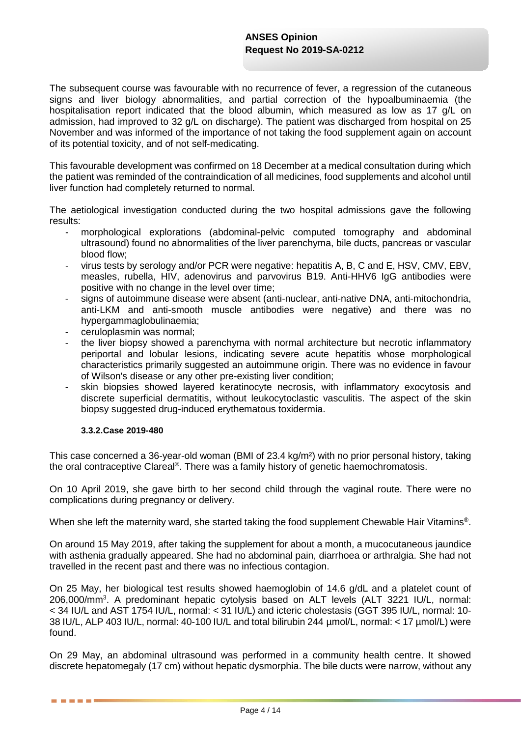The subsequent course was favourable with no recurrence of fever, a regression of the cutaneous signs and liver biology abnormalities, and partial correction of the hypoalbuminaemia (the hospitalisation report indicated that the blood albumin, which measured as low as 17 g/L on admission, had improved to 32 g/L on discharge). The patient was discharged from hospital on 25 November and was informed of the importance of not taking the food supplement again on account of its potential toxicity, and of not self-medicating.

This favourable development was confirmed on 18 December at a medical consultation during which the patient was reminded of the contraindication of all medicines, food supplements and alcohol until liver function had completely returned to normal.

The aetiological investigation conducted during the two hospital admissions gave the following results:

- morphological explorations (abdominal-pelvic computed tomography and abdominal ultrasound) found no abnormalities of the liver parenchyma, bile ducts, pancreas or vascular blood flow;
- virus tests by serology and/or PCR were negative: hepatitis A, B, C and E, HSV, CMV, EBV, measles, rubella, HIV, adenovirus and parvovirus B19. Anti-HHV6 IgG antibodies were positive with no change in the level over time;
- signs of autoimmune disease were absent (anti-nuclear, anti-native DNA, anti-mitochondria, anti-LKM and anti-smooth muscle antibodies were negative) and there was no hypergammaglobulinaemia;
- ceruloplasmin was normal;
- the liver biopsy showed a parenchyma with normal architecture but necrotic inflammatory periportal and lobular lesions, indicating severe acute hepatitis whose morphological characteristics primarily suggested an autoimmune origin. There was no evidence in favour of Wilson's disease or any other pre-existing liver condition;
- skin biopsies showed layered keratinocyte necrosis, with inflammatory exocytosis and discrete superficial dermatitis, without leukocytoclastic vasculitis. The aspect of the skin biopsy suggested drug-induced erythematous toxidermia.

### **3.3.2.Case 2019-480**

. . . . . .

This case concerned a 36-year-old woman (BMI of 23.4 kg/m²) with no prior personal history, taking the oral contraceptive Clareal®. There was a family history of genetic haemochromatosis.

On 10 April 2019, she gave birth to her second child through the vaginal route. There were no complications during pregnancy or delivery.

When she left the maternity ward, she started taking the food supplement Chewable Hair Vitamins®.

On around 15 May 2019, after taking the supplement for about a month, a mucocutaneous jaundice with asthenia gradually appeared. She had no abdominal pain, diarrhoea or arthralgia. She had not travelled in the recent past and there was no infectious contagion.

On 25 May, her biological test results showed haemoglobin of 14.6 g/dL and a platelet count of 206,000/mm3 . A predominant hepatic cytolysis based on ALT levels (ALT 3221 IU/L, normal: < 34 IU/L and AST 1754 IU/L, normal: < 31 IU/L) and icteric cholestasis (GGT 395 IU/L, normal: 10- 38 IU/L, ALP 403 IU/L, normal: 40-100 IU/L and total bilirubin 244 µmol/L, normal: < 17 µmol/L) were found.

On 29 May, an abdominal ultrasound was performed in a community health centre. It showed discrete hepatomegaly (17 cm) without hepatic dysmorphia. The bile ducts were narrow, without any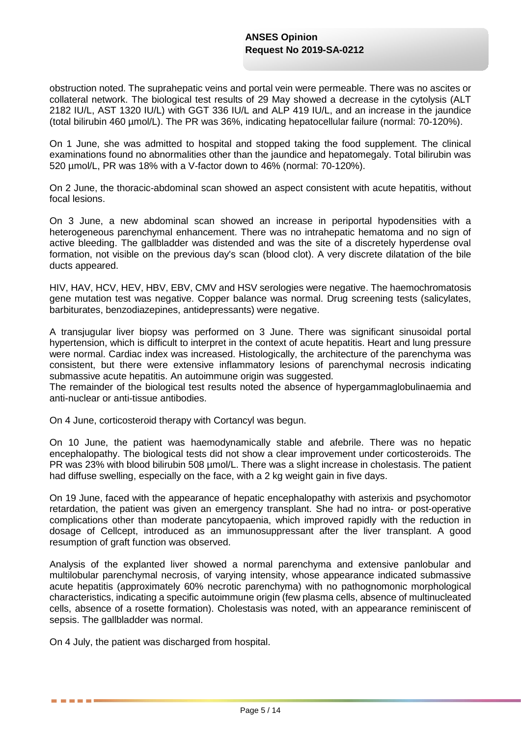obstruction noted. The suprahepatic veins and portal vein were permeable. There was no ascites or collateral network. The biological test results of 29 May showed a decrease in the cytolysis (ALT 2182 IU/L, AST 1320 IU/L) with GGT 336 IU/L and ALP 419 IU/L, and an increase in the jaundice (total bilirubin 460 µmol/L). The PR was 36%, indicating hepatocellular failure (normal: 70-120%).

On 1 June, she was admitted to hospital and stopped taking the food supplement. The clinical examinations found no abnormalities other than the jaundice and hepatomegaly. Total bilirubin was 520 µmol/L, PR was 18% with a V-factor down to 46% (normal: 70-120%).

On 2 June, the thoracic-abdominal scan showed an aspect consistent with acute hepatitis, without focal lesions.

On 3 June, a new abdominal scan showed an increase in periportal hypodensities with a heterogeneous parenchymal enhancement. There was no intrahepatic hematoma and no sign of active bleeding. The gallbladder was distended and was the site of a discretely hyperdense oval formation, not visible on the previous day's scan (blood clot). A very discrete dilatation of the bile ducts appeared.

HIV, HAV, HCV, HEV, HBV, EBV, CMV and HSV serologies were negative. The haemochromatosis gene mutation test was negative. Copper balance was normal. Drug screening tests (salicylates, barbiturates, benzodiazepines, antidepressants) were negative.

A transjugular liver biopsy was performed on 3 June. There was significant sinusoidal portal hypertension, which is difficult to interpret in the context of acute hepatitis. Heart and lung pressure were normal. Cardiac index was increased. Histologically, the architecture of the parenchyma was consistent, but there were extensive inflammatory lesions of parenchymal necrosis indicating submassive acute hepatitis. An autoimmune origin was suggested.

The remainder of the biological test results noted the absence of hypergammaglobulinaemia and anti-nuclear or anti-tissue antibodies.

On 4 June, corticosteroid therapy with Cortancyl was begun.

On 10 June, the patient was haemodynamically stable and afebrile. There was no hepatic encephalopathy. The biological tests did not show a clear improvement under corticosteroids. The PR was 23% with blood bilirubin 508 µmol/L. There was a slight increase in cholestasis. The patient had diffuse swelling, especially on the face, with a 2 kg weight gain in five days.

On 19 June, faced with the appearance of hepatic encephalopathy with asterixis and psychomotor retardation, the patient was given an emergency transplant. She had no intra- or post-operative complications other than moderate pancytopaenia, which improved rapidly with the reduction in dosage of Cellcept, introduced as an immunosuppressant after the liver transplant. A good resumption of graft function was observed.

Analysis of the explanted liver showed a normal parenchyma and extensive panlobular and multilobular parenchymal necrosis, of varying intensity, whose appearance indicated submassive acute hepatitis (approximately 60% necrotic parenchyma) with no pathognomonic morphological characteristics, indicating a specific autoimmune origin (few plasma cells, absence of multinucleated cells, absence of a rosette formation). Cholestasis was noted, with an appearance reminiscent of sepsis. The gallbladder was normal.

On 4 July, the patient was discharged from hospital.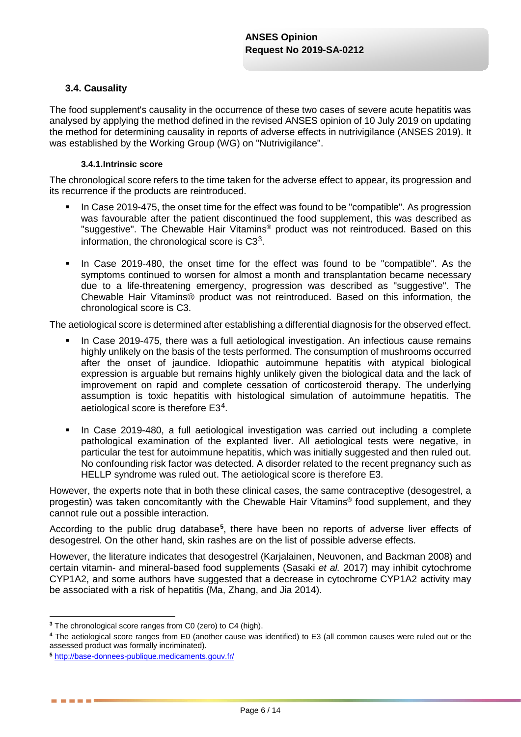### **3.4. Causality**

The food supplement's causality in the occurrence of these two cases of severe acute hepatitis was analysed by applying the method defined in the revised ANSES opinion of 10 July 2019 on updating the method for determining causality in reports of adverse effects in nutrivigilance (ANSES 2019). It was established by the Working Group (WG) on "Nutrivigilance".

#### **3.4.1.Intrinsic score**

The chronological score refers to the time taken for the adverse effect to appear, its progression and its recurrence if the products are reintroduced.

- In Case 2019-475, the onset time for the effect was found to be "compatible". As progression was favourable after the patient discontinued the food supplement, this was described as "suggestive". The Chewable Hair Vitamins® product was not reintroduced. Based on this information, the chronological score is  $C3<sup>3</sup>$  $C3<sup>3</sup>$  $C3<sup>3</sup>$ .
- In Case 2019-480, the onset time for the effect was found to be "compatible". As the symptoms continued to worsen for almost a month and transplantation became necessary due to a life-threatening emergency, progression was described as "suggestive". The Chewable Hair Vitamins® product was not reintroduced. Based on this information, the chronological score is C3.

The aetiological score is determined after establishing a differential diagnosis for the observed effect.

- In Case 2019-475, there was a full aetiological investigation. An infectious cause remains highly unlikely on the basis of the tests performed. The consumption of mushrooms occurred after the onset of jaundice. Idiopathic autoimmune hepatitis with atypical biological expression is arguable but remains highly unlikely given the biological data and the lack of improvement on rapid and complete cessation of corticosteroid therapy. The underlying assumption is toxic hepatitis with histological simulation of autoimmune hepatitis. The aetiological score is therefore E3[4](#page-5-1).
- In Case 2019-480, a full aetiological investigation was carried out including a complete pathological examination of the explanted liver. All aetiological tests were negative, in particular the test for autoimmune hepatitis, which was initially suggested and then ruled out. No confounding risk factor was detected. A disorder related to the recent pregnancy such as HELLP syndrome was ruled out. The aetiological score is therefore E3.

However, the experts note that in both these clinical cases, the same contraceptive (desogestrel, a progestin) was taken concomitantly with the Chewable Hair Vitamins® food supplement, and they cannot rule out a possible interaction.

According to the public drug database**[5](#page-5-2)** , there have been no reports of adverse liver effects of desogestrel. On the other hand, skin rashes are on the list of possible adverse effects.

However, the literature indicates that desogestrel (Karjalainen, Neuvonen, and Backman 2008) and certain vitamin- and mineral-based food supplements (Sasaki *et al.* 2017) may inhibit cytochrome CYP1A2, and some authors have suggested that a decrease in cytochrome CYP1A2 activity may be associated with a risk of hepatitis (Ma, Zhang, and Jia 2014).

<sup>-</sup>**<sup>3</sup>** The chronological score ranges from C0 (zero) to C4 (high).

<span id="page-5-1"></span><span id="page-5-0"></span>**<sup>4</sup>** The aetiological score ranges from E0 (another cause was identified) to E3 (all common causes were ruled out or the assessed product was formally incriminated).

<span id="page-5-2"></span>**<sup>5</sup>** <http://base-donnees-publique.medicaments.gouv.fr/>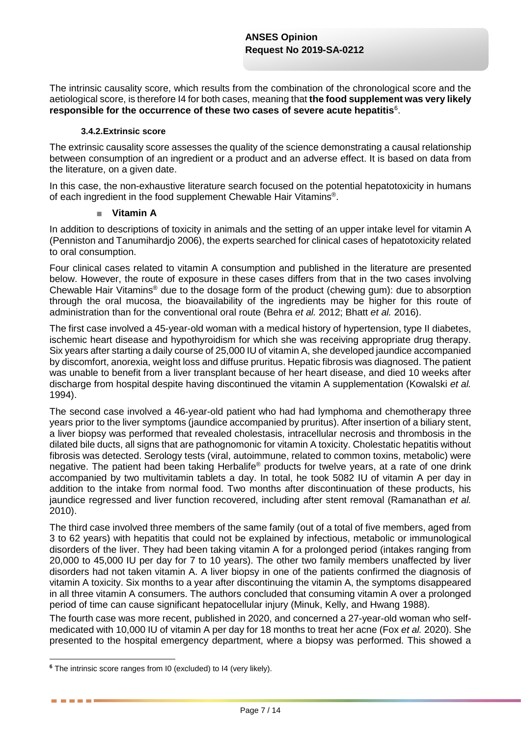The intrinsic causality score, which results from the combination of the chronological score and the aetiological score, is therefore I4 for both cases, meaning that **the food supplement was very likely responsible for the occurrence of these two cases of severe acute hepatitis**[6](#page-6-0) .

#### **3.4.2.Extrinsic score**

The extrinsic causality score assesses the quality of the science demonstrating a causal relationship between consumption of an ingredient or a product and an adverse effect. It is based on data from the literature, on a given date.

In this case, the non-exhaustive literature search focused on the potential hepatotoxicity in humans of each ingredient in the food supplement Chewable Hair Vitamins®.

#### ■ **Vitamin A**

In addition to descriptions of toxicity in animals and the setting of an upper intake level for vitamin A (Penniston and Tanumihardjo 2006), the experts searched for clinical cases of hepatotoxicity related to oral consumption.

Four clinical cases related to vitamin A consumption and published in the literature are presented below. However, the route of exposure in these cases differs from that in the two cases involving Chewable Hair Vitamins® due to the dosage form of the product (chewing gum): due to absorption through the oral mucosa, the bioavailability of the ingredients may be higher for this route of administration than for the conventional oral route (Behra *et al.* 2012; Bhatt *et al.* 2016).

The first case involved a 45-year-old woman with a medical history of hypertension, type II diabetes, ischemic heart disease and hypothyroidism for which she was receiving appropriate drug therapy. Six years after starting a daily course of 25,000 IU of vitamin A, she developed jaundice accompanied by discomfort, anorexia, weight loss and diffuse pruritus. Hepatic fibrosis was diagnosed. The patient was unable to benefit from a liver transplant because of her heart disease, and died 10 weeks after discharge from hospital despite having discontinued the vitamin A supplementation (Kowalski *et al.* 1994).

The second case involved a 46-year-old patient who had had lymphoma and chemotherapy three years prior to the liver symptoms (jaundice accompanied by pruritus). After insertion of a biliary stent, a liver biopsy was performed that revealed cholestasis, intracellular necrosis and thrombosis in the dilated bile ducts, all signs that are pathognomonic for vitamin A toxicity. Cholestatic hepatitis without fibrosis was detected. Serology tests (viral, autoimmune, related to common toxins, metabolic) were negative. The patient had been taking Herbalife® products for twelve years, at a rate of one drink accompanied by two multivitamin tablets a day. In total, he took 5082 IU of vitamin A per day in addition to the intake from normal food. Two months after discontinuation of these products, his jaundice regressed and liver function recovered, including after stent removal (Ramanathan *et al.* 2010).

The third case involved three members of the same family (out of a total of five members, aged from 3 to 62 years) with hepatitis that could not be explained by infectious, metabolic or immunological disorders of the liver. They had been taking vitamin A for a prolonged period (intakes ranging from 20,000 to 45,000 IU per day for 7 to 10 years). The other two family members unaffected by liver disorders had not taken vitamin A. A liver biopsy in one of the patients confirmed the diagnosis of vitamin A toxicity. Six months to a year after discontinuing the vitamin A, the symptoms disappeared in all three vitamin A consumers. The authors concluded that consuming vitamin A over a prolonged period of time can cause significant hepatocellular injury (Minuk, Kelly, and Hwang 1988).

The fourth case was more recent, published in 2020, and concerned a 27-year-old woman who selfmedicated with 10,000 IU of vitamin A per day for 18 months to treat her acne (Fox *et al.* 2020). She presented to the hospital emergency department, where a biopsy was performed. This showed a

-

<span id="page-6-0"></span>**<sup>6</sup>** The intrinsic score ranges from I0 (excluded) to I4 (very likely).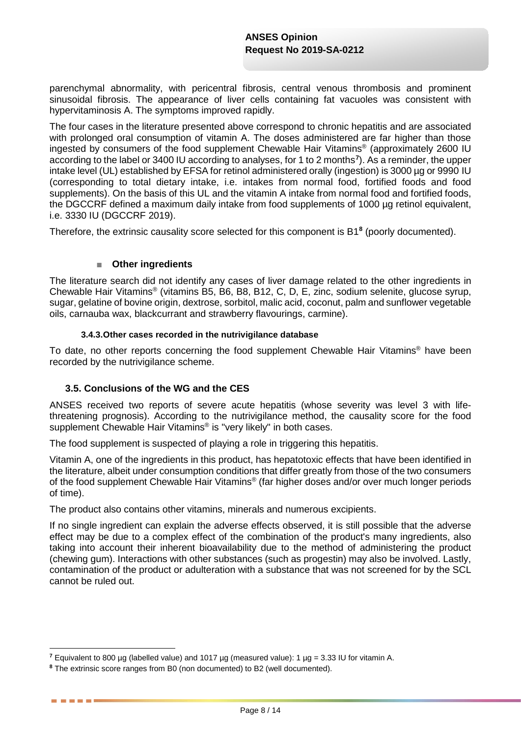parenchymal abnormality, with pericentral fibrosis, central venous thrombosis and prominent sinusoidal fibrosis. The appearance of liver cells containing fat vacuoles was consistent with hypervitaminosis A. The symptoms improved rapidly.

The four cases in the literature presented above correspond to chronic hepatitis and are associated with prolonged oral consumption of vitamin A. The doses administered are far higher than those ingested by consumers of the food supplement Chewable Hair Vitamins® (approximately 2600 IU according to the label or 3400 IU according to analyses, for 1 to 2 months**[7](#page-7-0)** ). As a reminder, the upper intake level (UL) established by EFSA for retinol administered orally (ingestion) is 3000 µg or 9990 IU (corresponding to total dietary intake, i.e. intakes from normal food, fortified foods and food supplements). On the basis of this UL and the vitamin A intake from normal food and fortified foods, the DGCCRF defined a maximum daily intake from food supplements of 1000 ug retinol equivalent, i.e. 3330 IU (DGCCRF 2019).

Therefore, the extrinsic causality score selected for this component is B1**[8](#page-7-1)** (poorly documented).

### ■ **Other ingredients**

The literature search did not identify any cases of liver damage related to the other ingredients in Chewable Hair Vitamins® (vitamins B5, B6, B8, B12, C, D, E, zinc, sodium selenite, glucose syrup, sugar, gelatine of bovine origin, dextrose, sorbitol, malic acid, coconut, palm and sunflower vegetable oils, carnauba wax, blackcurrant and strawberry flavourings, carmine).

#### **3.4.3.Other cases recorded in the nutrivigilance database**

To date, no other reports concerning the food supplement Chewable Hair Vitamins® have been recorded by the nutrivigilance scheme.

### **3.5. Conclusions of the WG and the CES**

ANSES received two reports of severe acute hepatitis (whose severity was level 3 with lifethreatening prognosis). According to the nutrivigilance method, the causality score for the food supplement Chewable Hair Vitamins<sup>®</sup> is "very likely" in both cases.

The food supplement is suspected of playing a role in triggering this hepatitis.

Vitamin A, one of the ingredients in this product, has hepatotoxic effects that have been identified in the literature, albeit under consumption conditions that differ greatly from those of the two consumers of the food supplement Chewable Hair Vitamins® (far higher doses and/or over much longer periods of time).

The product also contains other vitamins, minerals and numerous excipients.

If no single ingredient can explain the adverse effects observed, it is still possible that the adverse effect may be due to a complex effect of the combination of the product's many ingredients, also taking into account their inherent bioavailability due to the method of administering the product (chewing gum). Interactions with other substances (such as progestin) may also be involved. Lastly, contamination of the product or adulteration with a substance that was not screened for by the SCL cannot be ruled out.

. . . . .

<sup>-</sup>**<sup>7</sup>** Equivalent to 800 µg (labelled value) and 1017 µg (measured value): 1 µg = 3.33 IU for vitamin A.

<span id="page-7-1"></span><span id="page-7-0"></span>**<sup>8</sup>** The extrinsic score ranges from B0 (non documented) to B2 (well documented).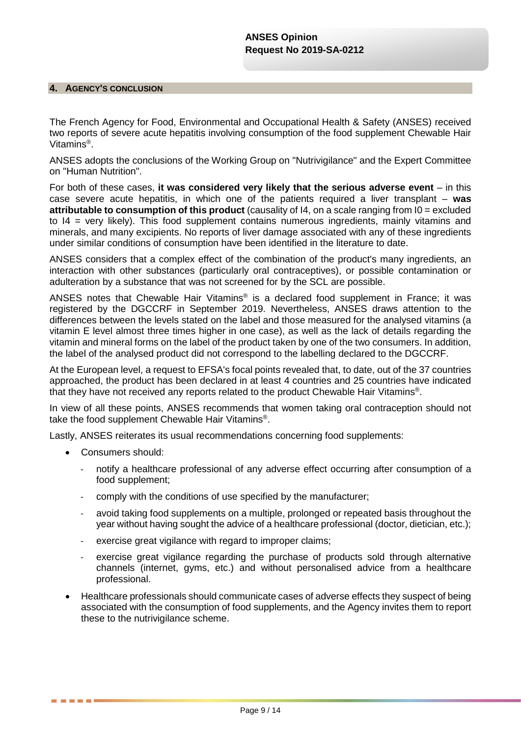#### **4. AGENCY'S CONCLUSION**

The French Agency for Food, Environmental and Occupational Health & Safety (ANSES) received two reports of severe acute hepatitis involving consumption of the food supplement Chewable Hair Vitamins®.

ANSES adopts the conclusions of the Working Group on "Nutrivigilance" and the Expert Committee on "Human Nutrition".

For both of these cases, **it was considered very likely that the serious adverse event** – in this case severe acute hepatitis, in which one of the patients required a liver transplant – **was attributable to consumption of this product** (causality of I4, on a scale ranging from I0 = excluded to I4 = very likely). This food supplement contains numerous ingredients, mainly vitamins and minerals, and many excipients. No reports of liver damage associated with any of these ingredients under similar conditions of consumption have been identified in the literature to date.

ANSES considers that a complex effect of the combination of the product's many ingredients, an interaction with other substances (particularly oral contraceptives), or possible contamination or adulteration by a substance that was not screened for by the SCL are possible.

ANSES notes that Chewable Hair Vitamins® is a declared food supplement in France; it was registered by the DGCCRF in September 2019. Nevertheless, ANSES draws attention to the differences between the levels stated on the label and those measured for the analysed vitamins (a vitamin E level almost three times higher in one case), as well as the lack of details regarding the vitamin and mineral forms on the label of the product taken by one of the two consumers. In addition, the label of the analysed product did not correspond to the labelling declared to the DGCCRF.

At the European level, a request to EFSA's focal points revealed that, to date, out of the 37 countries approached, the product has been declared in at least 4 countries and 25 countries have indicated that they have not received any reports related to the product Chewable Hair Vitamins®.

In view of all these points, ANSES recommends that women taking oral contraception should not take the food supplement Chewable Hair Vitamins®.

Lastly, ANSES reiterates its usual recommendations concerning food supplements:

• Consumers should:

- notify a healthcare professional of any adverse effect occurring after consumption of a food supplement;
- comply with the conditions of use specified by the manufacturer;
- avoid taking food supplements on a multiple, prolonged or repeated basis throughout the year without having sought the advice of a healthcare professional (doctor, dietician, etc.);
- exercise great vigilance with regard to improper claims;
- exercise great vigilance regarding the purchase of products sold through alternative channels (internet, gyms, etc.) and without personalised advice from a healthcare professional.
- Healthcare professionals should communicate cases of adverse effects they suspect of being associated with the consumption of food supplements, and the Agency invites them to report these to the nutrivigilance scheme.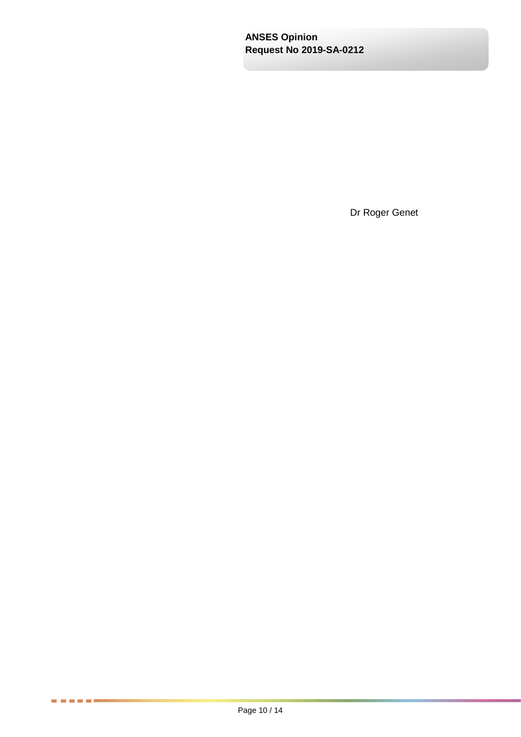Dr Roger Genet

医胃血管胃炎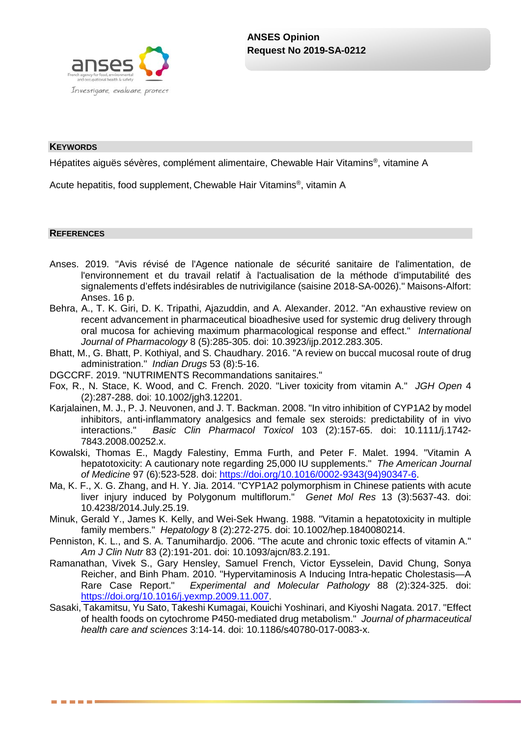

#### **KEYWORDS**

Hépatites aiguës sévères, complément alimentaire, Chewable Hair Vitamins®, vitamine A

Acute hepatitis, food supplement, Chewable Hair Vitamins®, vitamin A

#### **REFERENCES**

------

- Anses. 2019. "Avis révisé de l'Agence nationale de sécurité sanitaire de l'alimentation, de l'environnement et du travail relatif à l'actualisation de la méthode d'imputabilité des signalements d'effets indésirables de nutrivigilance (saisine 2018-SA-0026)." Maisons-Alfort: Anses. 16 p.
- Behra, A., T. K. Giri, D. K. Tripathi, Ajazuddin, and A. Alexander. 2012. "An exhaustive review on recent advancement in pharmaceutical bioadhesive used for systemic drug delivery through oral mucosa for achieving maximum pharmacological response and effect." *International Journal of Pharmacology* 8 (5):285-305. doi: 10.3923/ijp.2012.283.305.
- Bhatt, M., G. Bhatt, P. Kothiyal, and S. Chaudhary. 2016. "A review on buccal mucosal route of drug administration." *Indian Drugs* 53 (8):5-16.
- DGCCRF. 2019. "NUTRIMENTS Recommandations sanitaires."
- Fox, R., N. Stace, K. Wood, and C. French. 2020. "Liver toxicity from vitamin A." *JGH Open* 4 (2):287-288. doi: 10.1002/jgh3.12201.
- Karjalainen, M. J., P. J. Neuvonen, and J. T. Backman. 2008. "In vitro inhibition of CYP1A2 by model inhibitors, anti-inflammatory analgesics and female sex steroids: predictability of in vivo interactions." *Basic Clin Pharmacol Toxicol* 103 (2):157-65. doi: 10.1111/j.1742- 7843.2008.00252.x.
- Kowalski, Thomas E., Magdy Falestiny, Emma Furth, and Peter F. Malet. 1994. "Vitamin A hepatotoxicity: A cautionary note regarding 25,000 IU supplements." *The American Journal of Medicine* 97 (6):523-528. doi: [https://doi.org/10.1016/0002-9343\(94\)90347-6.](https://doi.org/10.1016/0002-9343(94)90347-6)
- Ma, K. F., X. G. Zhang, and H. Y. Jia. 2014. "CYP1A2 polymorphism in Chinese patients with acute liver injury induced by Polygonum multiflorum." *Genet Mol Res* 13 (3):5637-43. doi: 10.4238/2014.July.25.19.
- Minuk, Gerald Y., James K. Kelly, and Wei-Sek Hwang. 1988. "Vitamin a hepatotoxicity in multiple family members." *Hepatology* 8 (2):272-275. doi: 10.1002/hep.1840080214.
- Penniston, K. L., and S. A. Tanumihardjo. 2006. "The acute and chronic toxic effects of vitamin A." *Am J Clin Nutr* 83 (2):191-201. doi: 10.1093/ajcn/83.2.191.
- Ramanathan, Vivek S., Gary Hensley, Samuel French, Victor Eysselein, David Chung, Sonya Reicher, and Binh Pham. 2010. "Hypervitaminosis A Inducing Intra-hepatic Cholestasis—A Rare Case Report." *Experimental and Molecular Pathology* 88 (2):324-325. doi: [https://doi.org/10.1016/j.yexmp.2009.11.007.](https://doi.org/10.1016/j.yexmp.2009.11.007)
- Sasaki, Takamitsu, Yu Sato, Takeshi Kumagai, Kouichi Yoshinari, and Kiyoshi Nagata. 2017. "Effect of health foods on cytochrome P450-mediated drug metabolism." *Journal of pharmaceutical health care and sciences* 3:14-14. doi: 10.1186/s40780-017-0083-x.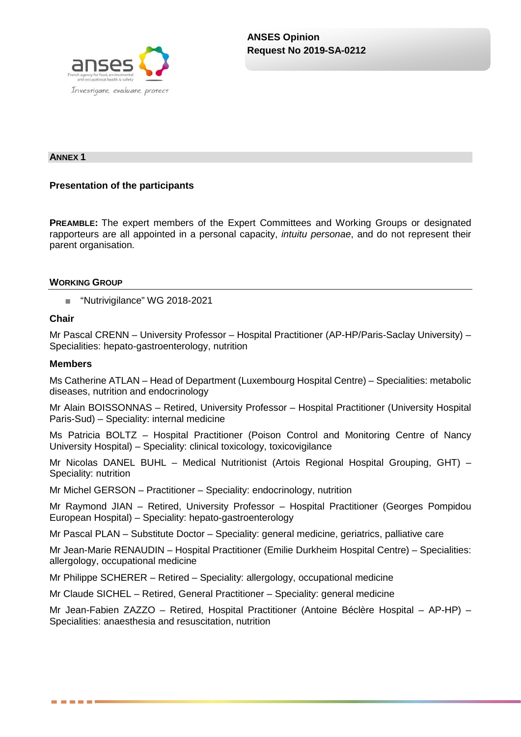

#### **ANNEX 1**

### **Presentation of the participants**

**PREAMBLE:** The expert members of the Expert Committees and Working Groups or designated rapporteurs are all appointed in a personal capacity, *intuitu personae*, and do not represent their parent organisation.

#### **WORKING GROUP**

■ "Nutrivigilance" WG 2018-2021

### **Chair**

Mr Pascal CRENN – University Professor – Hospital Practitioner (AP-HP/Paris-Saclay University) – Specialities: hepato-gastroenterology, nutrition

#### **Members**

------

Ms Catherine ATLAN – Head of Department (Luxembourg Hospital Centre) – Specialities: metabolic diseases, nutrition and endocrinology

Mr Alain BOISSONNAS – Retired, University Professor – Hospital Practitioner (University Hospital Paris-Sud) – Speciality: internal medicine

Ms Patricia BOLTZ – Hospital Practitioner (Poison Control and Monitoring Centre of Nancy University Hospital) – Speciality: clinical toxicology, toxicovigilance

Mr Nicolas DANEL BUHL – Medical Nutritionist (Artois Regional Hospital Grouping, GHT) – Speciality: nutrition

Mr Michel GERSON – Practitioner – Speciality: endocrinology, nutrition

Mr Raymond JIAN – Retired, University Professor – Hospital Practitioner (Georges Pompidou European Hospital) – Speciality: hepato-gastroenterology

Mr Pascal PLAN – Substitute Doctor – Speciality: general medicine, geriatrics, palliative care

Mr Jean-Marie RENAUDIN – Hospital Practitioner (Emilie Durkheim Hospital Centre) – Specialities: allergology, occupational medicine

Mr Philippe SCHERER – Retired – Speciality: allergology, occupational medicine

Mr Claude SICHEL – Retired, General Practitioner – Speciality: general medicine

Mr Jean-Fabien ZAZZO – Retired, Hospital Practitioner (Antoine Béclère Hospital – AP-HP) – Specialities: anaesthesia and resuscitation, nutrition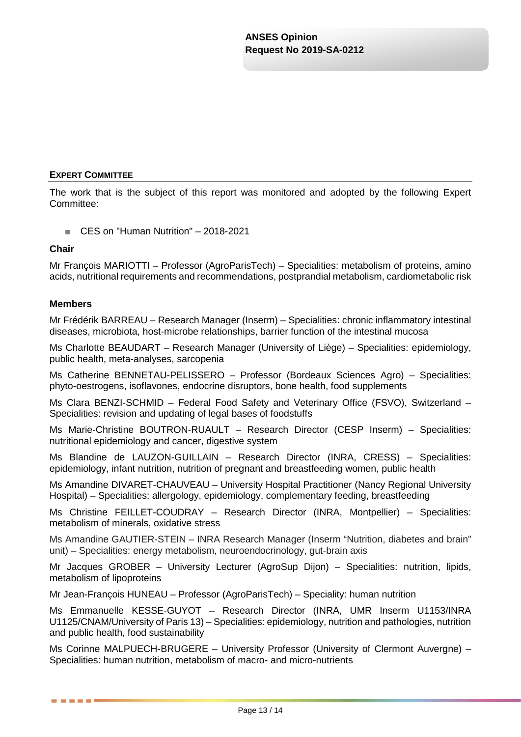### **EXPERT COMMITTEE**

The work that is the subject of this report was monitored and adopted by the following Expert Committee:

■ CES on "Human Nutrition" – 2018-2021

#### **Chair**

Mr François MARIOTTI – Professor (AgroParisTech) – Specialities: metabolism of proteins, amino acids, nutritional requirements and recommendations, postprandial metabolism, cardiometabolic risk

### **Members**

. . . . . .

Mr Frédérik BARREAU – Research Manager (Inserm) – Specialities: chronic inflammatory intestinal diseases, microbiota, host-microbe relationships, barrier function of the intestinal mucosa

Ms Charlotte BEAUDART – Research Manager (University of Liège) – Specialities: epidemiology, public health, meta-analyses, sarcopenia

Ms Catherine BENNETAU-PELISSERO – Professor (Bordeaux Sciences Agro) – Specialities: phyto-oestrogens, isoflavones, endocrine disruptors, bone health, food supplements

Ms Clara BENZI-SCHMID – Federal Food Safety and Veterinary Office (FSVO), Switzerland – Specialities: revision and updating of legal bases of foodstuffs

Ms Marie-Christine BOUTRON-RUAULT – Research Director (CESP Inserm) – Specialities: nutritional epidemiology and cancer, digestive system

Ms Blandine de LAUZON-GUILLAIN – Research Director (INRA, CRESS) – Specialities: epidemiology, infant nutrition, nutrition of pregnant and breastfeeding women, public health

Ms Amandine DIVARET-CHAUVEAU – University Hospital Practitioner (Nancy Regional University Hospital) – Specialities: allergology, epidemiology, complementary feeding, breastfeeding

Ms Christine FEILLET-COUDRAY – Research Director (INRA, Montpellier) – Specialities: metabolism of minerals, oxidative stress

Ms Amandine GAUTIER-STEIN – INRA Research Manager (Inserm "Nutrition, diabetes and brain" unit) – Specialities: energy metabolism, neuroendocrinology, gut-brain axis

Mr Jacques GROBER – University Lecturer (AgroSup Dijon) – Specialities: nutrition, lipids, metabolism of lipoproteins

Mr Jean-François HUNEAU – Professor (AgroParisTech) – Speciality: human nutrition

Ms Emmanuelle KESSE-GUYOT – Research Director (INRA, UMR Inserm U1153/INRA U1125/CNAM/University of Paris 13) – Specialities: epidemiology, nutrition and pathologies, nutrition and public health, food sustainability

Ms Corinne MALPUECH-BRUGERE – University Professor (University of Clermont Auvergne) – Specialities: human nutrition, metabolism of macro- and micro-nutrients